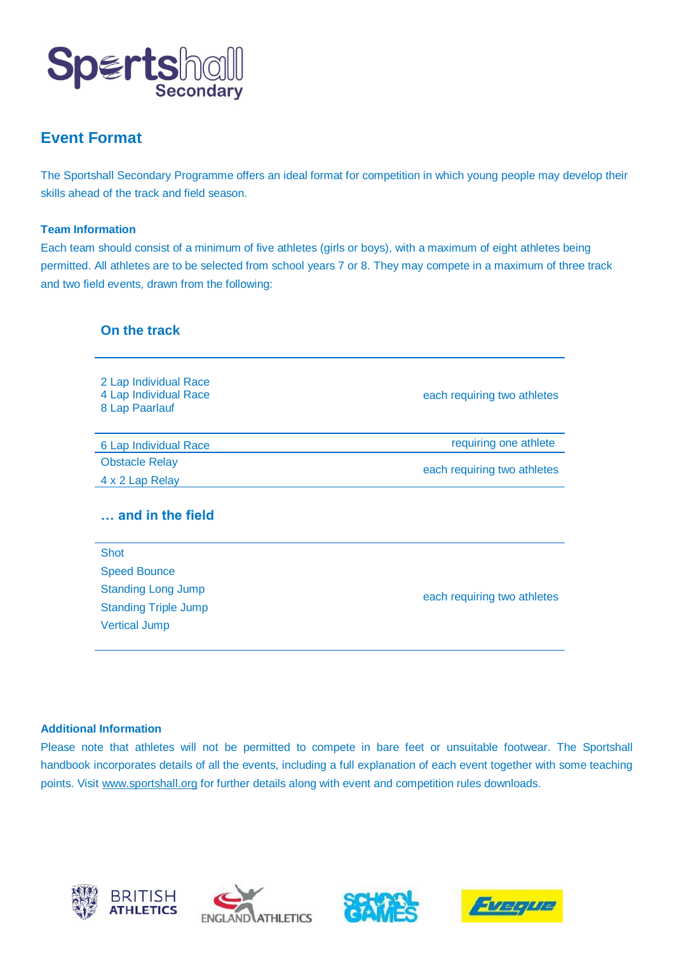

# **Event Format**

The Sportshall Secondary Programme offers an ideal format for competition in which young people may develop their skills ahead of the track and field season.

#### **Team Information**

Each team should consist of a minimum of five athletes (girls or boys), with a maximum of eight athletes being permitted. All athletes are to be selected from school years 7 or 8. They may compete in a maximum of three track and two field events, drawn from the following:

| On the track                                                     |                             |
|------------------------------------------------------------------|-----------------------------|
| 2 Lap Individual Race<br>4 Lap Individual Race<br>8 Lap Paarlauf | each requiring two athletes |
| 6 Lap Individual Race                                            | requiring one athlete       |
| <b>Obstacle Relay</b><br>4 x 2 Lap Relay                         | each requiring two athletes |
| and in the field                                                 |                             |
| <b>Shot</b>                                                      |                             |
| <b>Speed Bounce</b>                                              |                             |
| <b>Standing Long Jump</b>                                        | each requiring two athletes |
| <b>Standing Triple Jump</b><br><b>Vertical Jump</b>              |                             |
|                                                                  |                             |

#### **Additional Information**

Please note that athletes will not be permitted to compete in bare feet or unsuitable footwear. The Sportshall handbook incorporates details of all the events, including a full explanation of each event together with some teaching points. Visit [www.sportshall.org](http://www.sportshall.org/) for further details along with event and competition rules downloads.







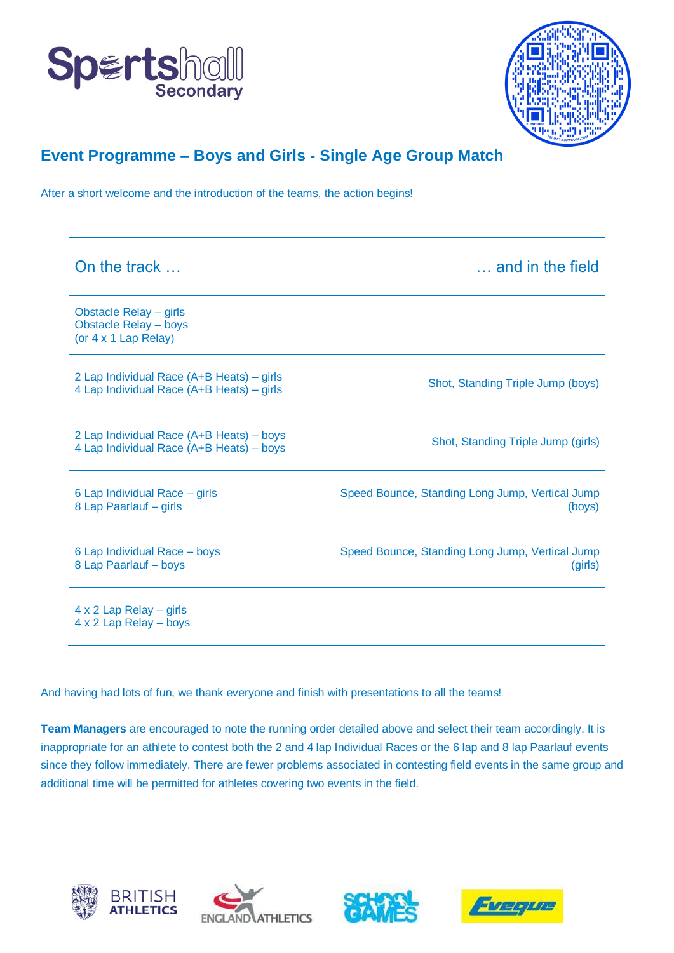



## **Event Programme – Boys and Girls - Single Age Group Match**

After a short welcome and the introduction of the teams, the action begins!

| On the track                                                                           | and in the field                                           |
|----------------------------------------------------------------------------------------|------------------------------------------------------------|
| Obstacle Relay - girls<br><b>Obstacle Relay - boys</b><br>(or $4 \times 1$ Lap Relay)  |                                                            |
| 2 Lap Individual Race (A+B Heats) – girls<br>4 Lap Individual Race (A+B Heats) – girls | Shot, Standing Triple Jump (boys)                          |
| 2 Lap Individual Race (A+B Heats) – boys<br>4 Lap Individual Race (A+B Heats) - boys   | Shot, Standing Triple Jump (girls)                         |
| 6 Lap Individual Race - girls<br>8 Lap Paarlauf - girls                                | Speed Bounce, Standing Long Jump, Vertical Jump<br>(boys)  |
| 6 Lap Individual Race - boys<br>8 Lap Paarlauf - boys                                  | Speed Bounce, Standing Long Jump, Vertical Jump<br>(girls) |
| $4 \times 2$ Lap Relay – girls<br>4 x 2 Lap Relay - boys                               |                                                            |

And having had lots of fun, we thank everyone and finish with presentations to all the teams!

**Team Managers** are encouraged to note the running order detailed above and select their team accordingly. It is inappropriate for an athlete to contest both the 2 and 4 lap Individual Races or the 6 lap and 8 lap Paarlauf events since they follow immediately. There are fewer problems associated in contesting field events in the same group and additional time will be permitted for athletes covering two events in the field.







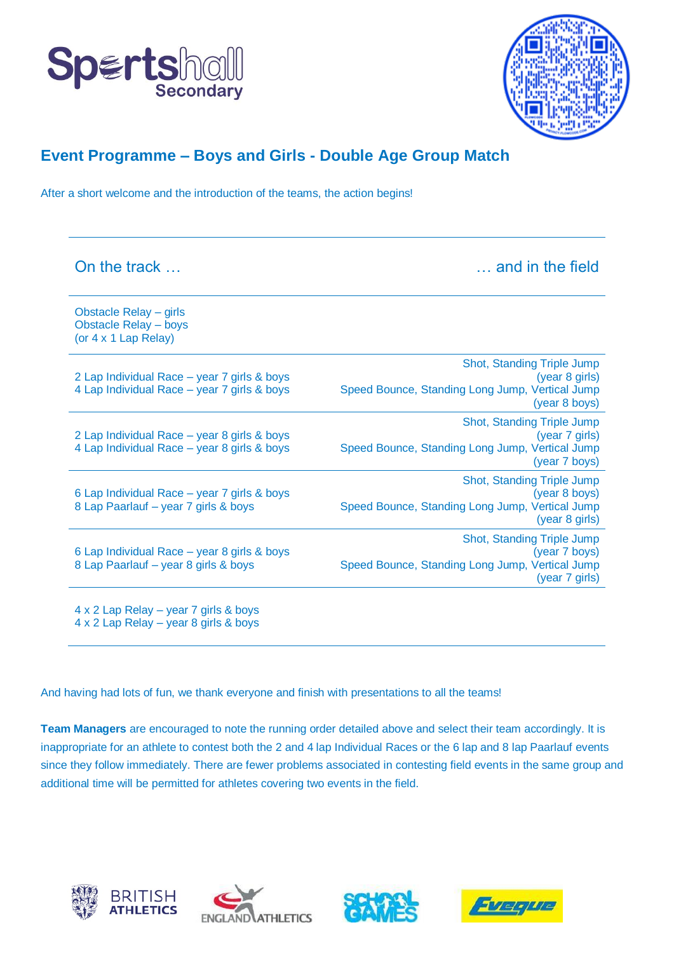



(year 7 girls)

#### **Event Programme – Boys and Girls - Double Age Group Match**

After a short welcome and the introduction of the teams, the action begins!

| On the track                                                                               | and in the field                                                                                                        |
|--------------------------------------------------------------------------------------------|-------------------------------------------------------------------------------------------------------------------------|
| Obstacle Relay - girls<br><b>Obstacle Relay - boys</b><br>(or 4 x 1 Lap Relay)             |                                                                                                                         |
| 2 Lap Individual Race – year 7 girls & boys<br>4 Lap Individual Race - year 7 girls & boys | Shot, Standing Triple Jump<br>(year 8 girls)<br>Speed Bounce, Standing Long Jump, Vertical Jump<br>(year 8 boys)        |
| 2 Lap Individual Race - year 8 girls & boys<br>4 Lap Individual Race – year 8 girls & boys | <b>Shot, Standing Triple Jump</b><br>(year 7 girls)<br>Speed Bounce, Standing Long Jump, Vertical Jump<br>(year 7 boys) |
| 6 Lap Individual Race – year 7 girls & boys<br>8 Lap Paarlauf - year 7 girls & boys        | Shot, Standing Triple Jump<br>(year 8 boys)<br>Speed Bounce, Standing Long Jump, Vertical Jump<br>(year 8 girls)        |
| 6 Lap Individual Race - year 8 girls & boys<br>8 Lap Paarlauf - year 8 girls & boys        | <b>Shot, Standing Triple Jump</b><br>(year 7 boys)<br>Speed Bounce, Standing Long Jump, Vertical Jump                   |

4 x 2 Lap Relay – year 7 girls & boys 4 x 2 Lap Relay – year 8 girls & boys

And having had lots of fun, we thank everyone and finish with presentations to all the teams!

**Team Managers** are encouraged to note the running order detailed above and select their team accordingly. It is inappropriate for an athlete to contest both the 2 and 4 lap Individual Races or the 6 lap and 8 lap Paarlauf events since they follow immediately. There are fewer problems associated in contesting field events in the same group and additional time will be permitted for athletes covering two events in the field.